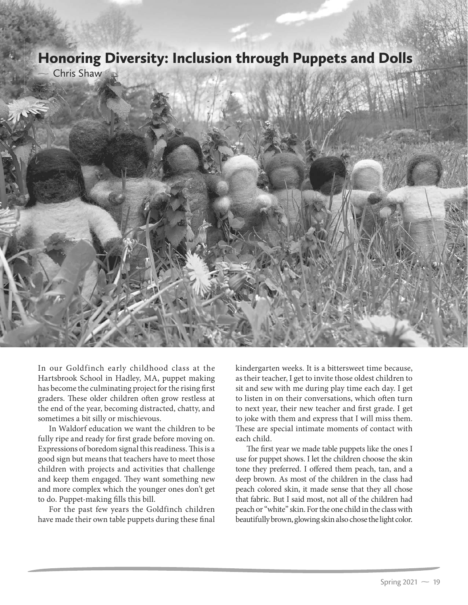## Honoring Diversity: Inclusion through Puppets and Dolls

Chris Shaw



In our Goldfinch early childhood class at the Hartsbrook School in Hadley, MA, puppet making has become the culminating project for the rising first graders. These older children often grow restless at the end of the year, becoming distracted, chatty, and sometimes a bit silly or mischievous.

In Waldorf education we want the children to be fully ripe and ready for first grade before moving on. Expressions of boredom signal this readiness. This is a good sign but means that teachers have to meet those children with projects and activities that challenge and keep them engaged. They want something new and more complex which the younger ones don't get to do. Puppet-making fills this bill.

For the past few years the Goldfinch children have made their own table puppets during these final kindergarten weeks. It is a bittersweet time because, as their teacher, I get to invite those oldest children to sit and sew with me during play time each day. I get to listen in on their conversations, which often turn to next year, their new teacher and first grade. I get to joke with them and express that I will miss them. These are special intimate moments of contact with each child.

The first year we made table puppets like the ones I use for puppet shows. I let the children choose the skin tone they preferred. I offered them peach, tan, and a deep brown. As most of the children in the class had peach colored skin, it made sense that they all chose that fabric. But I said most, not all of the children had peach or "white" skin. For the one child in the class with beautifully brown, glowing skin also chose the light color.